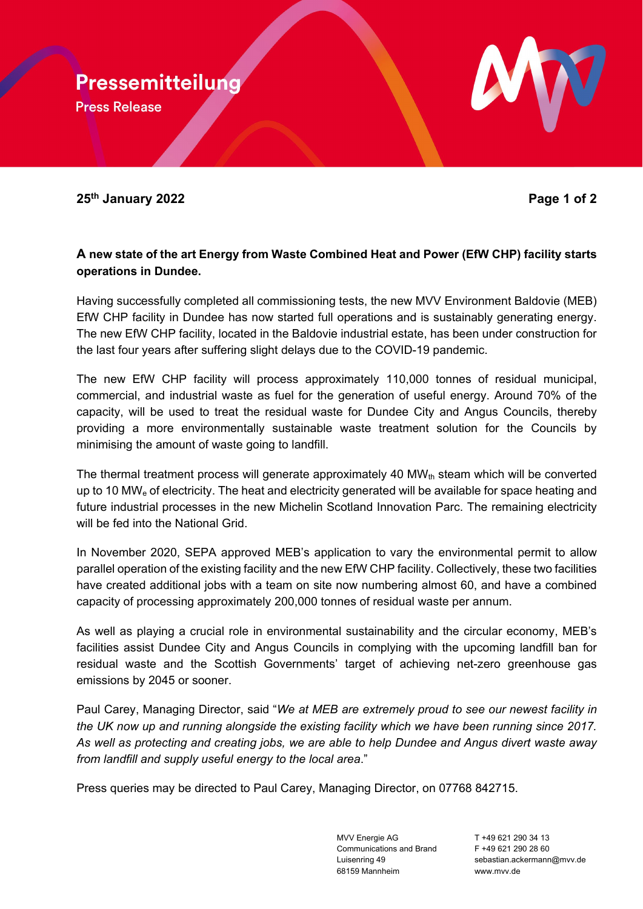Pressemitteilung **Press Release** 



## **A new state of the art Energy from Waste Combined Heat and Power (EfW CHP) facility starts operations in Dundee.**

Having successfully completed all commissioning tests, the new MVV Environment Baldovie (MEB) EfW CHP facility in Dundee has now started full operations and is sustainably generating energy. The new EfW CHP facility, located in the Baldovie industrial estate, has been under construction for the last four years after suffering slight delays due to the COVID-19 pandemic.

The new EfW CHP facility will process approximately 110,000 tonnes of residual municipal, commercial, and industrial waste as fuel for the generation of useful energy. Around 70% of the capacity, will be used to treat the residual waste for Dundee City and Angus Councils, thereby providing a more environmentally sustainable waste treatment solution for the Councils by minimising the amount of waste going to landfill.

The thermal treatment process will generate approximately 40  $MW_{th}$  steam which will be converted up to 10 MWe of electricity. The heat and electricity generated will be available for space heating and future industrial processes in the new Michelin Scotland Innovation Parc. The remaining electricity will be fed into the National Grid.

In November 2020, SEPA approved MEB's application to vary the environmental permit to allow parallel operation of the existing facility and the new EfW CHP facility. Collectively, these two facilities have created additional jobs with a team on site now numbering almost 60, and have a combined capacity of processing approximately 200,000 tonnes of residual waste per annum.

As well as playing a crucial role in environmental sustainability and the circular economy, MEB's facilities assist Dundee City and Angus Councils in complying with the upcoming landfill ban for residual waste and the Scottish Governments' target of achieving net-zero greenhouse gas emissions by 2045 or sooner.

Paul Carey, Managing Director, said "*We at MEB are extremely proud to see our newest facility in the UK now up and running alongside the existing facility which we have been running since 2017. As well as protecting and creating jobs, we are able to help Dundee and Angus divert waste away from landfill and supply useful energy to the local area*."

Press queries may be directed to Paul Carey, Managing Director, on 07768 842715.

MVV Energie AG T +49 621 290 34 13 Communications and Brand  $F +496212902860$ 68159 Mannheim www.mvv.de

Luisenring 49 sebastian.ackermann@mvv.de